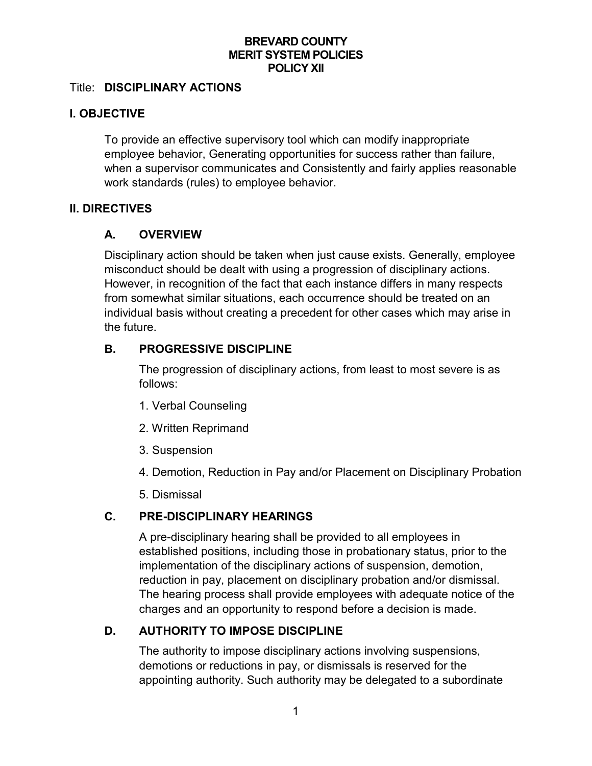### **BREVARD COUNTY MERIT SYSTEM POLICIES POLICY XII**

#### Title: **DISCIPLINARY ACTIONS**

### **I. OBJECTIVE**

To provide an effective supervisory tool which can modify inappropriate employee behavior, Generating opportunities for success rather than failure, when a supervisor communicates and Consistently and fairly applies reasonable work standards (rules) to employee behavior.

### **II. DIRECTIVES**

### **A. OVERVIEW**

Disciplinary action should be taken when just cause exists. Generally, employee misconduct should be dealt with using a progression of disciplinary actions. However, in recognition of the fact that each instance differs in many respects from somewhat similar situations, each occurrence should be treated on an individual basis without creating a precedent for other cases which may arise in the future.

### **B. PROGRESSIVE DISCIPLINE**

The progression of disciplinary actions, from least to most severe is as follows:

- 1. Verbal Counseling
- 2. Written Reprimand
- 3. Suspension
- 4. Demotion, Reduction in Pay and/or Placement on Disciplinary Probation
- 5. Dismissal

### **C. PRE-DISCIPLINARY HEARINGS**

A pre-disciplinary hearing shall be provided to all employees in established positions, including those in probationary status, prior to the implementation of the disciplinary actions of suspension, demotion, reduction in pay, placement on disciplinary probation and/or dismissal. The hearing process shall provide employees with adequate notice of the charges and an opportunity to respond before a decision is made.

# **D. AUTHORITY TO IMPOSE DISCIPLINE**

The authority to impose disciplinary actions involving suspensions, demotions or reductions in pay, or dismissals is reserved for the appointing authority. Such authority may be delegated to a subordinate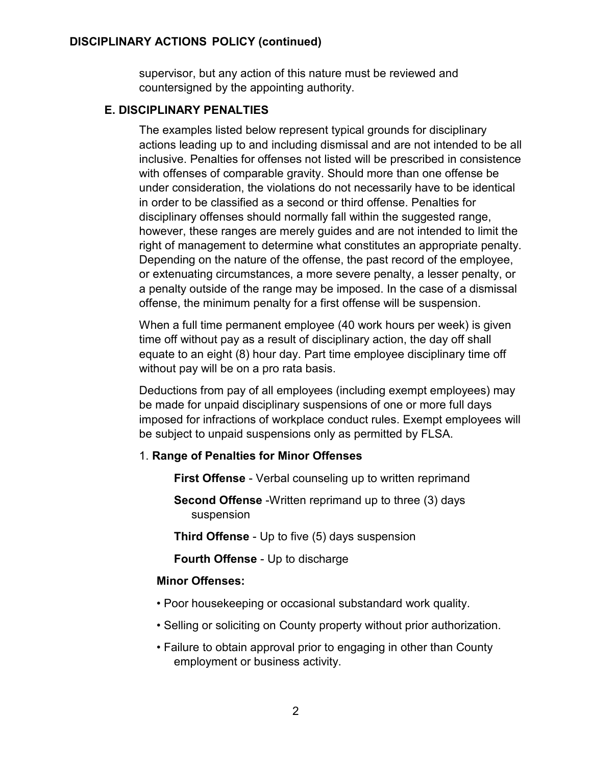supervisor, but any action of this nature must be reviewed and countersigned by the appointing authority.

# **E. DISCIPLINARY PENALTIES**

The examples listed below represent typical grounds for disciplinary actions leading up to and including dismissal and are not intended to be all inclusive. Penalties for offenses not listed will be prescribed in consistence with offenses of comparable gravity. Should more than one offense be under consideration, the violations do not necessarily have to be identical in order to be classified as a second or third offense. Penalties for disciplinary offenses should normally fall within the suggested range, however, these ranges are merely guides and are not intended to limit the right of management to determine what constitutes an appropriate penalty. Depending on the nature of the offense, the past record of the employee, or extenuating circumstances, a more severe penalty, a lesser penalty, or a penalty outside of the range may be imposed. In the case of a dismissal offense, the minimum penalty for a first offense will be suspension.

When a full time permanent employee (40 work hours per week) is given time off without pay as a result of disciplinary action, the day off shall equate to an eight (8) hour day. Part time employee disciplinary time off without pay will be on a pro rata basis.

Deductions from pay of all employees (including exempt employees) may be made for unpaid disciplinary suspensions of one or more full days imposed for infractions of workplace conduct rules. Exempt employees will be subject to unpaid suspensions only as permitted by FLSA.

# 1. **Range of Penalties for Minor Offenses**

**First Offense** - Verbal counseling up to written reprimand

**Second Offense** -Written reprimand up to three (3) days suspension

**Third Offense** - Up to five (5) days suspension

**Fourth Offense** - Up to discharge

# **Minor Offenses:**

- Poor housekeeping or occasional substandard work quality.
- Selling or soliciting on County property without prior authorization.
- Failure to obtain approval prior to engaging in other than County employment or business activity.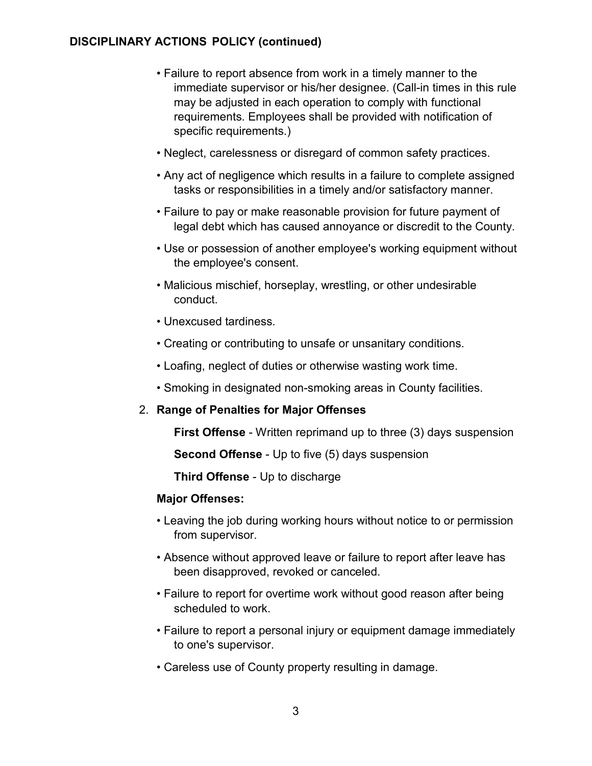- Failure to report absence from work in a timely manner to the immediate supervisor or his/her designee. (Call-in times in this rule may be adjusted in each operation to comply with functional requirements. Employees shall be provided with notification of specific requirements.)
- Neglect, carelessness or disregard of common safety practices.
- Any act of negligence which results in a failure to complete assigned tasks or responsibilities in a timely and/or satisfactory manner.
- Failure to pay or make reasonable provision for future payment of legal debt which has caused annoyance or discredit to the County.
- Use or possession of another employee's working equipment without the employee's consent.
- Malicious mischief, horseplay, wrestling, or other undesirable conduct.
- Unexcused tardiness.
- Creating or contributing to unsafe or unsanitary conditions.
- Loafing, neglect of duties or otherwise wasting work time.
- Smoking in designated non-smoking areas in County facilities.

### 2. **Range of Penalties for Major Offenses**

**First Offense** - Written reprimand up to three (3) days suspension

**Second Offense** - Up to five (5) days suspension

**Third Offense** - Up to discharge

### **Major Offenses:**

- Leaving the job during working hours without notice to or permission from supervisor.
- Absence without approved leave or failure to report after leave has been disapproved, revoked or canceled.
- Failure to report for overtime work without good reason after being scheduled to work.
- Failure to report a personal injury or equipment damage immediately to one's supervisor.
- Careless use of County property resulting in damage.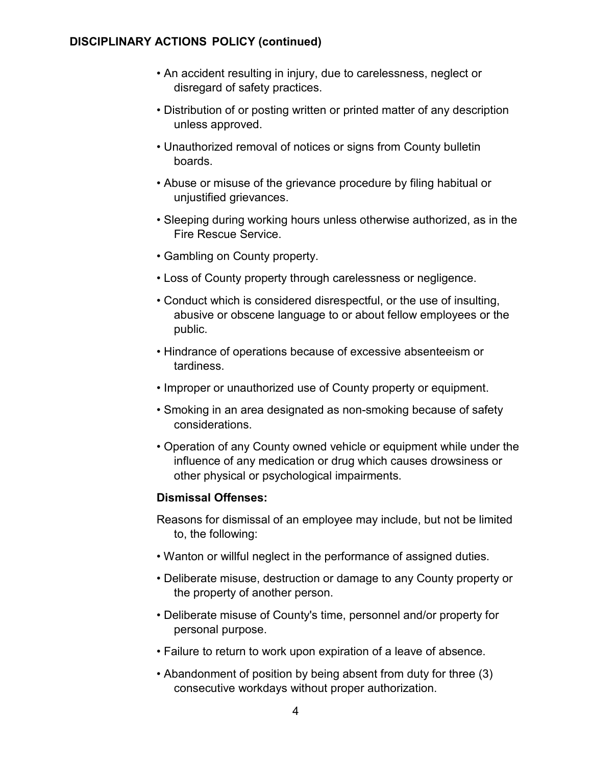- An accident resulting in injury, due to carelessness, neglect or disregard of safety practices.
- Distribution of or posting written or printed matter of any description unless approved.
- Unauthorized removal of notices or signs from County bulletin boards.
- Abuse or misuse of the grievance procedure by filing habitual or unjustified grievances.
- Sleeping during working hours unless otherwise authorized, as in the Fire Rescue Service.
- Gambling on County property.
- Loss of County property through carelessness or negligence.
- Conduct which is considered disrespectful, or the use of insulting, abusive or obscene language to or about fellow employees or the public.
- Hindrance of operations because of excessive absenteeism or tardiness.
- Improper or unauthorized use of County property or equipment.
- Smoking in an area designated as non-smoking because of safety considerations.
- Operation of any County owned vehicle or equipment while under the influence of any medication or drug which causes drowsiness or other physical or psychological impairments.

# **Dismissal Offenses:**

- Reasons for dismissal of an employee may include, but not be limited to, the following:
- Wanton or willful neglect in the performance of assigned duties.
- Deliberate misuse, destruction or damage to any County property or the property of another person.
- Deliberate misuse of County's time, personnel and/or property for personal purpose.
- Failure to return to work upon expiration of a leave of absence.
- Abandonment of position by being absent from duty for three (3) consecutive workdays without proper authorization.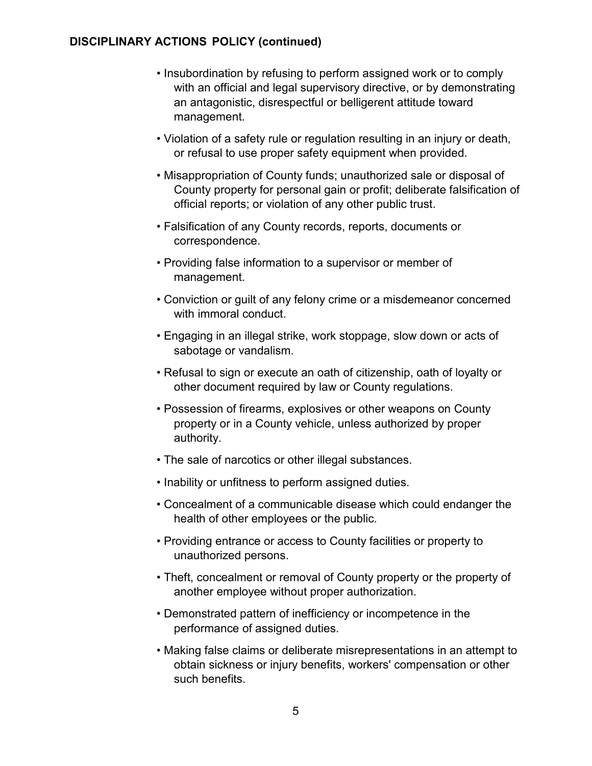- Insubordination by refusing to perform assigned work or to comply with an official and legal supervisory directive, or by demonstrating an antagonistic, disrespectful or belligerent attitude toward management.
- Violation of a safety rule or regulation resulting in an injury or death, or refusal to use proper safety equipment when provided.
- Misappropriation of County funds; unauthorized sale or disposal of County property for personal gain or profit; deliberate falsification of official reports; or violation of any other public trust.
- Falsification of any County records, reports, documents or correspondence.
- Providing false information to a supervisor or member of management.
- Conviction or guilt of any felony crime or a misdemeanor concerned with immoral conduct.
- Engaging in an illegal strike, work stoppage, slow down or acts of sabotage or vandalism.
- Refusal to sign or execute an oath of citizenship, oath of loyalty or other document required by law or County regulations.
- Possession of firearms, explosives or other weapons on County property or in a County vehicle, unless authorized by proper authority.
- The sale of narcotics or other illegal substances.
- Inability or unfitness to perform assigned duties.
- Concealment of a communicable disease which could endanger the health of other employees or the public.
- Providing entrance or access to County facilities or property to unauthorized persons.
- Theft, concealment or removal of County property or the property of another employee without proper authorization.
- Demonstrated pattern of inefficiency or incompetence in the performance of assigned duties.
- Making false claims or deliberate misrepresentations in an attempt to obtain sickness or injury benefits, workers' compensation or other such benefits.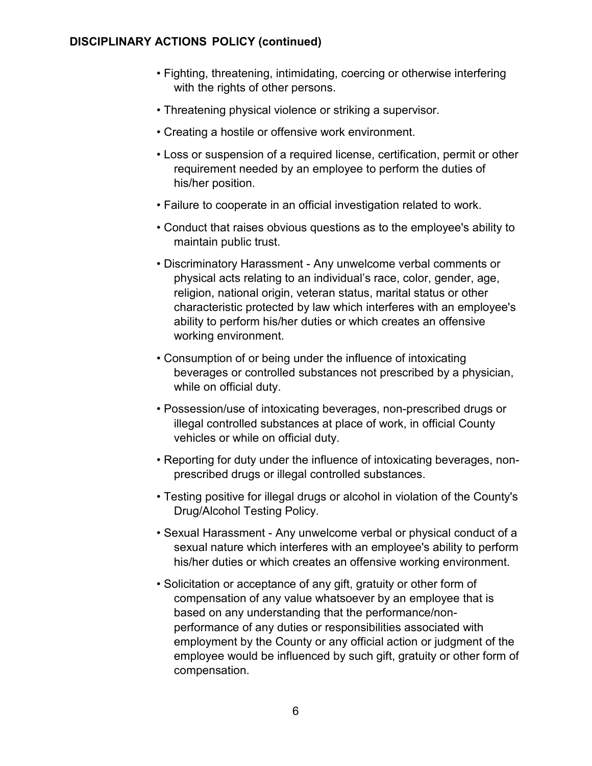- Fighting, threatening, intimidating, coercing or otherwise interfering with the rights of other persons.
- Threatening physical violence or striking a supervisor.
- Creating a hostile or offensive work environment.
- Loss or suspension of a required license, certification, permit or other requirement needed by an employee to perform the duties of his/her position.
- Failure to cooperate in an official investigation related to work.
- Conduct that raises obvious questions as to the employee's ability to maintain public trust.
- Discriminatory Harassment Any unwelcome verbal comments or physical acts relating to an individual's race, color, gender, age, religion, national origin, veteran status, marital status or other characteristic protected by law which interferes with an employee's ability to perform his/her duties or which creates an offensive working environment.
- Consumption of or being under the influence of intoxicating beverages or controlled substances not prescribed by a physician, while on official duty.
- Possession/use of intoxicating beverages, non-prescribed drugs or illegal controlled substances at place of work, in official County vehicles or while on official duty.
- Reporting for duty under the influence of intoxicating beverages, nonprescribed drugs or illegal controlled substances.
- Testing positive for illegal drugs or alcohol in violation of the County's Drug/Alcohol Testing Policy.
- Sexual Harassment Any unwelcome verbal or physical conduct of a sexual nature which interferes with an employee's ability to perform his/her duties or which creates an offensive working environment.
- Solicitation or acceptance of any gift, gratuity or other form of compensation of any value whatsoever by an employee that is based on any understanding that the performance/nonperformance of any duties or responsibilities associated with employment by the County or any official action or judgment of the employee would be influenced by such gift, gratuity or other form of compensation.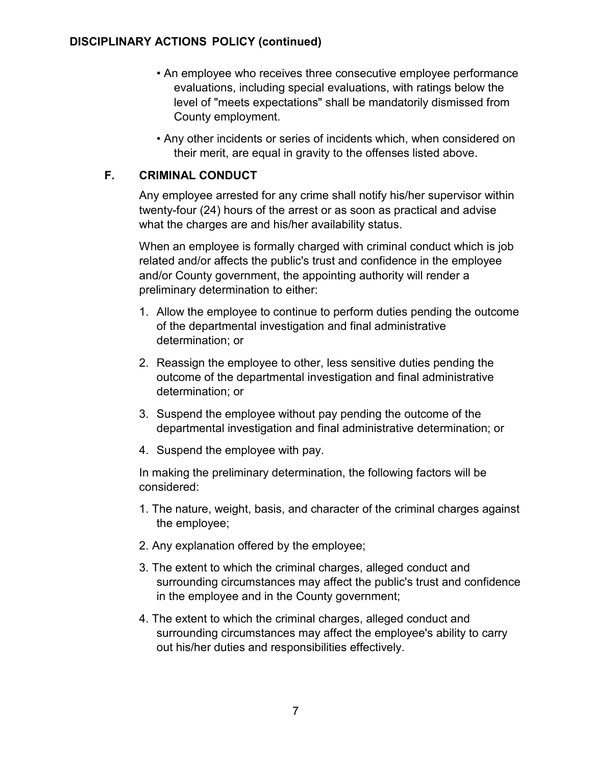- An employee who receives three consecutive employee performance evaluations, including special evaluations, with ratings below the level of "meets expectations" shall be mandatorily dismissed from County employment.
- Any other incidents or series of incidents which, when considered on their merit, are equal in gravity to the offenses listed above.

# **F. CRIMINAL CONDUCT**

Any employee arrested for any crime shall notify his/her supervisor within twenty-four (24) hours of the arrest or as soon as practical and advise what the charges are and his/her availability status.

When an employee is formally charged with criminal conduct which is job related and/or affects the public's trust and confidence in the employee and/or County government, the appointing authority will render a preliminary determination to either:

- 1. Allow the employee to continue to perform duties pending the outcome of the departmental investigation and final administrative determination; or
- 2. Reassign the employee to other, less sensitive duties pending the outcome of the departmental investigation and final administrative determination; or
- 3. Suspend the employee without pay pending the outcome of the departmental investigation and final administrative determination; or
- 4. Suspend the employee with pay.

In making the preliminary determination, the following factors will be considered:

- 1. The nature, weight, basis, and character of the criminal charges against the employee;
- 2. Any explanation offered by the employee;
- 3. The extent to which the criminal charges, alleged conduct and surrounding circumstances may affect the public's trust and confidence in the employee and in the County government;
- 4. The extent to which the criminal charges, alleged conduct and surrounding circumstances may affect the employee's ability to carry out his/her duties and responsibilities effectively.